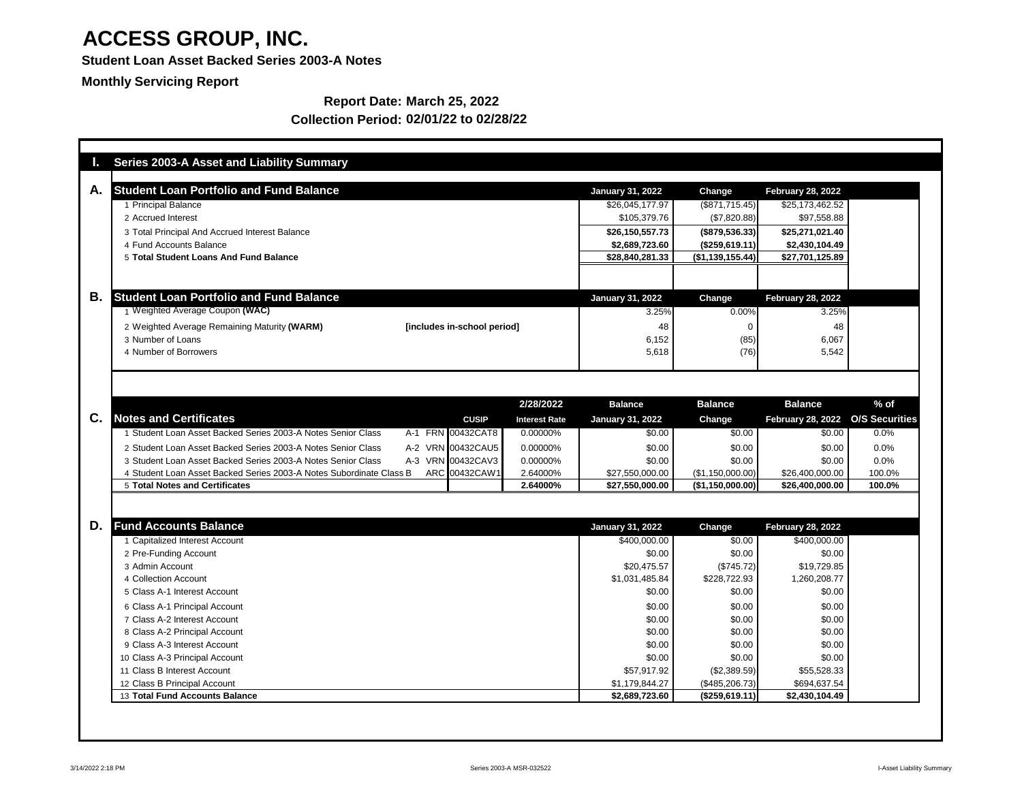**Student Loan Asset Backed Series 2003-A Notes**

**Monthly Servicing Report**

|    | <b>Series 2003-A Asset and Liability Summary</b>                    |                             |              |                      |                               |                                |                             |                       |
|----|---------------------------------------------------------------------|-----------------------------|--------------|----------------------|-------------------------------|--------------------------------|-----------------------------|-----------------------|
| А. | <b>Student Loan Portfolio and Fund Balance</b>                      |                             |              |                      | <b>January 31, 2022</b>       | Change                         | <b>February 28, 2022</b>    |                       |
|    | 1 Principal Balance                                                 |                             |              |                      | \$26,045,177.97               | (\$871,715.45)                 | \$25,173,462.52             |                       |
|    | 2 Accrued Interest                                                  |                             |              |                      | \$105,379.76                  | (\$7,820.88)                   | \$97,558.88                 |                       |
|    | 3 Total Principal And Accrued Interest Balance                      |                             |              |                      | \$26,150,557.73               | (\$879,536.33)                 | \$25,271,021.40             |                       |
|    | 4 Fund Accounts Balance                                             |                             |              |                      | \$2,689,723.60                | (\$259,619.11)                 | \$2,430,104.49              |                       |
|    | 5 Total Student Loans And Fund Balance                              |                             |              |                      | \$28,840,281.33               | (\$1,139,155.44)               | \$27,701,125.89             |                       |
|    |                                                                     |                             |              |                      |                               |                                |                             |                       |
|    |                                                                     |                             |              |                      |                               |                                |                             |                       |
| Β. | <b>Student Loan Portfolio and Fund Balance</b>                      |                             |              |                      | <b>January 31, 2022</b>       | Change                         | <b>February 28, 2022</b>    |                       |
|    | 1 Weighted Average Coupon (WAC)                                     |                             |              |                      | 3.25%                         | 0.00%                          | 3.25%                       |                       |
|    | 2 Weighted Average Remaining Maturity (WARM)                        | [includes in-school period] |              |                      | 48                            |                                | 48                          |                       |
|    | 3 Number of Loans                                                   |                             |              |                      | 6,152                         | (85)                           | 6,067                       |                       |
|    | 4 Number of Borrowers                                               |                             |              |                      | 5,618                         | (76)                           | 5,542                       |                       |
|    |                                                                     |                             |              |                      |                               |                                |                             |                       |
|    |                                                                     |                             |              |                      |                               |                                |                             |                       |
|    |                                                                     |                             |              |                      |                               |                                |                             |                       |
|    |                                                                     |                             |              | 2/28/2022            | <b>Balance</b>                | <b>Balance</b>                 | <b>Balance</b>              | $%$ of                |
| C. | <b>Notes and Certificates</b>                                       |                             | <b>CUSIP</b> | <b>Interest Rate</b> | <b>January 31, 2022</b>       | <b>Change</b>                  | <b>February 28, 2022</b>    | <b>O/S Securities</b> |
|    | Student Loan Asset Backed Series 2003-A Notes Senior Class          | A-1 FRN 00432CAT8           |              | 0.00000%             | \$0.00                        | \$0.00                         | \$0.00                      | 0.0%                  |
|    | 2 Student Loan Asset Backed Series 2003-A Notes Senior Class        | A-2 VRN 00432CAU5           |              | 0.00000%             | \$0.00                        | \$0.00                         | \$0.00                      | 0.0%                  |
|    | 3 Student Loan Asset Backed Series 2003-A Notes Senior Class        | A-3 VRN 00432CAV3           |              | 0.00000%             | \$0.00                        | \$0.00                         | \$0.00                      | 0.0%                  |
|    | 4 Student Loan Asset Backed Series 2003-A Notes Subordinate Class B | ARC 00432CAW1               |              | 2.64000%             | \$27,550,000.00               | (\$1,150,000.00)               | \$26,400,000.00             | 100.0%                |
|    | <b>5 Total Notes and Certificates</b>                               |                             |              | 2.64000%             | \$27,550,000.00               | (\$1,150,000.00]               | \$26,400,000.00             | 100.0%                |
|    |                                                                     |                             |              |                      |                               |                                |                             |                       |
|    |                                                                     |                             |              |                      |                               |                                |                             |                       |
| D. | <b>Fund Accounts Balance</b>                                        |                             |              |                      | <b>January 31, 2022</b>       | Change                         | <b>February 28, 2022</b>    |                       |
|    | 1 Capitalized Interest Account                                      |                             |              |                      | \$400,000.00                  | \$0.00                         | \$400,000.00                |                       |
|    | 2 Pre-Funding Account                                               |                             |              |                      | \$0.00                        | \$0.00                         | \$0.00                      |                       |
|    | 3 Admin Account                                                     |                             |              |                      | \$20,475.57                   | (\$745.72)                     | \$19,729.85                 |                       |
|    | 4 Collection Account                                                |                             |              |                      | \$1,031,485.84                | \$228,722.93                   | 1,260,208.77                |                       |
|    | 5 Class A-1 Interest Account                                        |                             |              |                      | \$0.00                        | \$0.00                         | \$0.00                      |                       |
|    | 6 Class A-1 Principal Account                                       |                             |              |                      | \$0.00                        | \$0.00                         | \$0.00                      |                       |
|    | 7 Class A-2 Interest Account                                        |                             |              |                      | \$0.00                        | \$0.00                         | \$0.00                      |                       |
|    | 8 Class A-2 Principal Account                                       |                             |              |                      | \$0.00                        | \$0.00                         | \$0.00                      |                       |
|    | 9 Class A-3 Interest Account                                        |                             |              |                      | \$0.00                        | \$0.00                         | \$0.00                      |                       |
|    | 10 Class A-3 Principal Account<br>11 Class B Interest Account       |                             |              |                      | \$0.00                        | \$0.00                         | \$0.00                      |                       |
|    | 12 Class B Principal Account                                        |                             |              |                      | \$57,917.92<br>\$1,179,844.27 | (\$2,389.59)<br>(\$485,206.73) | \$55,528.33<br>\$694,637.54 |                       |
|    | 13 Total Fund Accounts Balance                                      |                             |              |                      | \$2,689,723.60                | (\$259,619.11)                 | \$2,430,104.49              |                       |
|    |                                                                     |                             |              |                      |                               |                                |                             |                       |
|    |                                                                     |                             |              |                      |                               |                                |                             |                       |

### **Report Date: March 25, 2022 Collection Period: 02/01/22 to 02/28/22**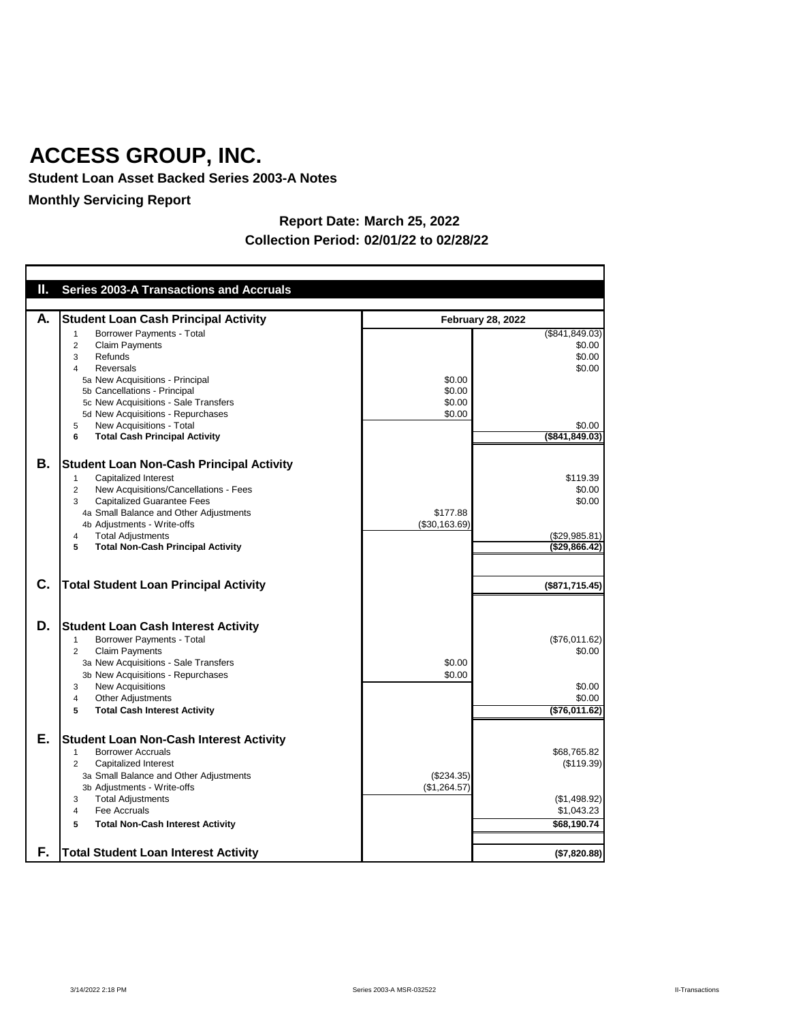**Student Loan Asset Backed Series 2003-A Notes**

## **Monthly Servicing Report**

| Ш.       | <b>Series 2003-A Transactions and Accruals</b>                                                                                                                                                                                                                                                                                        |                                      |                                                                              |  |
|----------|---------------------------------------------------------------------------------------------------------------------------------------------------------------------------------------------------------------------------------------------------------------------------------------------------------------------------------------|--------------------------------------|------------------------------------------------------------------------------|--|
| А.       | <b>Student Loan Cash Principal Activity</b>                                                                                                                                                                                                                                                                                           | <b>February 28, 2022</b>             |                                                                              |  |
|          | <b>Borrower Payments - Total</b><br><b>Claim Payments</b><br>2<br>Refunds<br>3<br><b>Reversals</b><br>4<br>5a New Acquisitions - Principal<br>5b Cancellations - Principal<br>5c New Acquisitions - Sale Transfers<br>5d New Acquisitions - Repurchases<br>New Acquisitions - Total<br>5<br><b>Total Cash Principal Activity</b><br>6 | \$0.00<br>\$0.00<br>\$0.00<br>\$0.00 | (\$841, 849.03)<br>\$0.00<br>\$0.00<br>\$0.00<br>\$0.00<br>$($ \$841,849.03) |  |
| В.       | <b>Student Loan Non-Cash Principal Activity</b><br><b>Capitalized Interest</b><br>New Acquisitions/Cancellations - Fees<br>2<br><b>Capitalized Guarantee Fees</b><br>3<br>4a Small Balance and Other Adjustments<br>4b Adjustments - Write-offs<br><b>Total Adjustments</b><br>4<br><b>Total Non-Cash Principal Activity</b><br>5     | \$177.88<br>(\$30,163.69)            | \$119.39<br>\$0.00<br>\$0.00<br>(\$29,985.81)<br>(\$29,866.42)               |  |
| C.       | Total Student Loan Principal Activity                                                                                                                                                                                                                                                                                                 |                                      | (\$871,715.45)                                                               |  |
| D.       | <b>Student Loan Cash Interest Activity</b><br>Borrower Payments - Total<br><b>Claim Payments</b><br>$\overline{2}$<br>3a New Acquisitions - Sale Transfers<br>3b New Acquisitions - Repurchases<br><b>New Acquisitions</b><br>3<br><b>Other Adjustments</b><br>4<br><b>Total Cash Interest Activity</b><br>5                          | \$0.00<br>\$0.00                     | (\$76,011.62)<br>\$0.00<br>\$0.00<br>\$0.00<br>( \$76,011.62)                |  |
| Е.<br>F. | <b>Student Loan Non-Cash Interest Activity</b><br><b>Borrower Accruals</b><br>Capitalized Interest<br>2<br>3a Small Balance and Other Adjustments<br>3b Adjustments - Write-offs<br><b>Total Adjustments</b><br>3<br>Fee Accruals<br>4<br><b>Total Non-Cash Interest Activity</b><br>5<br><b>Total Student Loan Interest Activity</b> | (\$234.35)<br>(\$1,264.57)           | \$68,765.82<br>(\$119.39)<br>(\$1,498.92)<br>\$1,043.23<br>\$68,190.74       |  |
|          |                                                                                                                                                                                                                                                                                                                                       |                                      | (\$7,820.88)                                                                 |  |

### **Report Date: March 25, 2022 Collection Period: 02/01/22 to 02/28/22**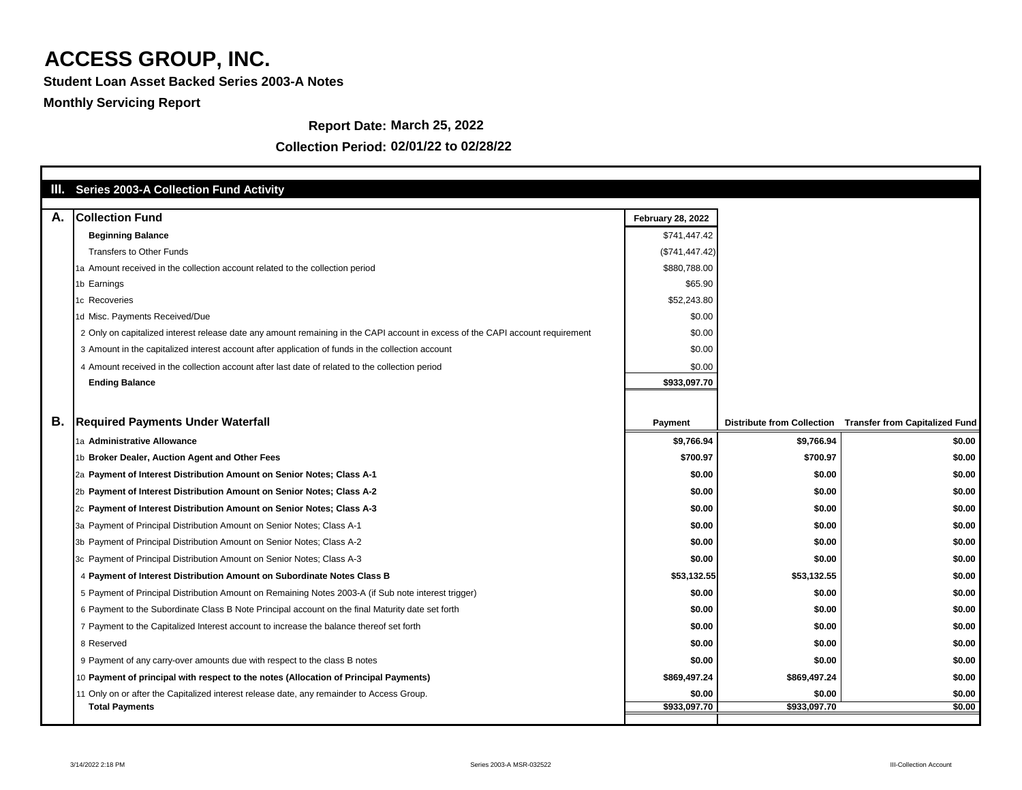**Student Loan Asset Backed Series 2003-A Notes**

### **Monthly Servicing Report**

#### **Report Date: March 25, 2022**

|    | III. Series 2003-A Collection Fund Activity                                                                                    |                          |                                   |                                       |
|----|--------------------------------------------------------------------------------------------------------------------------------|--------------------------|-----------------------------------|---------------------------------------|
| А. | <b>Collection Fund</b>                                                                                                         | <b>February 28, 2022</b> |                                   |                                       |
|    | <b>Beginning Balance</b>                                                                                                       | \$741,447.42             |                                   |                                       |
|    | <b>Transfers to Other Funds</b>                                                                                                | (\$741, 447.42)          |                                   |                                       |
|    | 1a Amount received in the collection account related to the collection period                                                  | \$880,788.00             |                                   |                                       |
|    | 1b Earnings                                                                                                                    | \$65.90                  |                                   |                                       |
|    | 1c Recoveries                                                                                                                  | \$52,243.80              |                                   |                                       |
|    | 1d Misc. Payments Received/Due                                                                                                 | \$0.00                   |                                   |                                       |
|    | 2 Only on capitalized interest release date any amount remaining in the CAPI account in excess of the CAPI account requirement | \$0.00                   |                                   |                                       |
|    | 3 Amount in the capitalized interest account after application of funds in the collection account                              | \$0.00                   |                                   |                                       |
|    | 4 Amount received in the collection account after last date of related to the collection period                                | \$0.00                   |                                   |                                       |
|    | <b>Ending Balance</b>                                                                                                          | \$933,097.70             |                                   |                                       |
|    |                                                                                                                                |                          |                                   |                                       |
|    |                                                                                                                                |                          |                                   |                                       |
| В. | <b>Required Payments Under Waterfall</b>                                                                                       | <b>Payment</b>           | <b>Distribute from Collection</b> | <b>Transfer from Capitalized Fund</b> |
|    | 1a Administrative Allowance                                                                                                    | \$9,766.94               | \$9,766.94                        | \$0.00                                |
|    | 1b Broker Dealer, Auction Agent and Other Fees                                                                                 | \$700.97                 | \$700.97                          | \$0.00                                |
|    | 2a Payment of Interest Distribution Amount on Senior Notes; Class A-1                                                          | \$0.00                   | \$0.00                            | \$0.00                                |
|    | 2b Payment of Interest Distribution Amount on Senior Notes; Class A-2                                                          | \$0.00                   | \$0.00                            | \$0.00                                |
|    | 2c Payment of Interest Distribution Amount on Senior Notes; Class A-3                                                          | \$0.00                   | \$0.00                            | \$0.00                                |
|    | 3a Payment of Principal Distribution Amount on Senior Notes; Class A-1                                                         | \$0.00                   | \$0.00                            | \$0.00                                |
|    | 3b Payment of Principal Distribution Amount on Senior Notes; Class A-2                                                         | \$0.00                   | \$0.00                            | \$0.00                                |
|    | 3c Payment of Principal Distribution Amount on Senior Notes; Class A-3                                                         | \$0.00                   | \$0.00                            | \$0.00                                |
|    | 4 Payment of Interest Distribution Amount on Subordinate Notes Class B                                                         | \$53,132.55              | \$53,132.55                       | \$0.00                                |
|    | 5 Payment of Principal Distribution Amount on Remaining Notes 2003-A (if Sub note interest trigger)                            | \$0.00                   | \$0.00                            | \$0.00                                |
|    | 6 Payment to the Subordinate Class B Note Principal account on the final Maturity date set forth                               | \$0.00                   | \$0.00                            | \$0.00                                |
|    | 7 Payment to the Capitalized Interest account to increase the balance thereof set forth                                        | \$0.00                   | \$0.00                            | \$0.00                                |
|    | 8 Reserved                                                                                                                     | \$0.00                   | \$0.00                            | \$0.00                                |
|    | 9 Payment of any carry-over amounts due with respect to the class B notes                                                      | \$0.00                   | \$0.00                            | \$0.00                                |
|    | 10 Payment of principal with respect to the notes (Allocation of Principal Payments)                                           | \$869,497.24             | \$869,497.24                      | \$0.00                                |
|    | 11 Only on or after the Capitalized interest release date, any remainder to Access Group.                                      | \$0.00                   | \$0.00                            | \$0.00                                |
|    | <b>Total Payments</b>                                                                                                          | \$933,097.70             | \$933,097.70                      | \$0.00                                |
|    |                                                                                                                                |                          |                                   |                                       |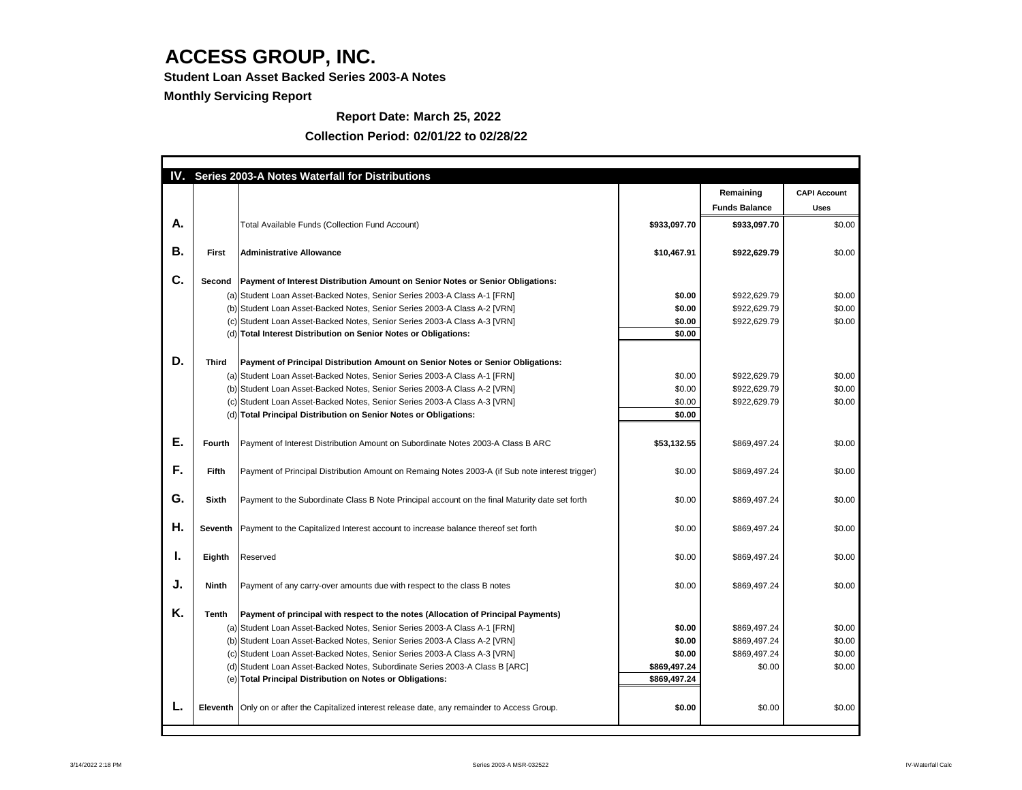**Student Loan Asset Backed Series 2003-A Notes**

**Monthly Servicing Report**

**Report Date: March 25, 2022**

| IV. |               | Series 2003-A Notes Waterfall for Distributions                                                   |              |                      |                     |
|-----|---------------|---------------------------------------------------------------------------------------------------|--------------|----------------------|---------------------|
|     |               |                                                                                                   |              | Remaining            | <b>CAPI Account</b> |
|     |               |                                                                                                   |              | <b>Funds Balance</b> | <b>Uses</b>         |
| A.  |               | <b>Total Available Funds (Collection Fund Account)</b>                                            | \$933,097.70 | \$933,097.70         | \$0.00              |
|     |               |                                                                                                   |              |                      |                     |
| Β.  | <b>First</b>  | <b>Administrative Allowance</b>                                                                   | \$10,467.91  | \$922,629.79         | \$0.00              |
|     |               |                                                                                                   |              |                      |                     |
| C.  | <b>Second</b> | <b>Payment of Interest Distribution Amount on Senior Notes or Senior Obligations:</b>             |              |                      |                     |
|     |               | (a) Student Loan Asset-Backed Notes, Senior Series 2003-A Class A-1 [FRN]                         | \$0.00       | \$922,629.79         | \$0.00              |
|     |               | (b) Student Loan Asset-Backed Notes, Senior Series 2003-A Class A-2 [VRN]                         | \$0.00       | \$922,629.79         | \$0.00              |
|     |               | (c) Student Loan Asset-Backed Notes, Senior Series 2003-A Class A-3 [VRN]                         | \$0.00       | \$922,629.79         | \$0.00              |
|     |               | (d) Total Interest Distribution on Senior Notes or Obligations:                                   | \$0.00       |                      |                     |
|     |               |                                                                                                   |              |                      |                     |
| D.  | <b>Third</b>  | Payment of Principal Distribution Amount on Senior Notes or Senior Obligations:                   |              |                      |                     |
|     |               | (a) Student Loan Asset-Backed Notes, Senior Series 2003-A Class A-1 [FRN]                         | \$0.00       | \$922,629.79         | \$0.00              |
|     |               | (b) Student Loan Asset-Backed Notes, Senior Series 2003-A Class A-2 [VRN]                         | \$0.00       | \$922,629.79         | \$0.00              |
|     |               | (c) Student Loan Asset-Backed Notes, Senior Series 2003-A Class A-3 [VRN]                         | \$0.00       | \$922,629.79         | \$0.00              |
|     |               | (d) Total Principal Distribution on Senior Notes or Obligations:                                  | \$0.00       |                      |                     |
|     |               |                                                                                                   |              |                      |                     |
| Е.  | <b>Fourth</b> | Payment of Interest Distribution Amount on Subordinate Notes 2003-A Class B ARC                   | \$53,132.55  | \$869,497.24         | \$0.00              |
|     |               |                                                                                                   |              |                      |                     |
| F.  | <b>Fifth</b>  | Payment of Principal Distribution Amount on Remaing Notes 2003-A (if Sub note interest trigger)   | \$0.00       | \$869,497.24         | \$0.00              |
|     |               |                                                                                                   |              |                      |                     |
| G.  | <b>Sixth</b>  | Payment to the Subordinate Class B Note Principal account on the final Maturity date set forth    | \$0.00       | \$869,497.24         | \$0.00              |
|     |               |                                                                                                   |              |                      |                     |
| Η.  |               | Seventh   Payment to the Capitalized Interest account to increase balance thereof set forth       | \$0.00       | \$869,497.24         | \$0.00              |
|     |               |                                                                                                   |              |                      |                     |
|     |               |                                                                                                   |              |                      |                     |
| ь.  | Eighth        | Reserved                                                                                          | \$0.00       | \$869,497.24         | \$0.00              |
|     |               |                                                                                                   |              |                      |                     |
| J.  | <b>Ninth</b>  | Payment of any carry-over amounts due with respect to the class B notes                           | \$0.00       | \$869,497.24         | \$0.00              |
|     |               |                                                                                                   |              |                      |                     |
| K.  | <b>Tenth</b>  | Payment of principal with respect to the notes (Allocation of Principal Payments)                 |              |                      |                     |
|     |               | (a) Student Loan Asset-Backed Notes, Senior Series 2003-A Class A-1 [FRN]                         | \$0.00       | \$869,497.24         | \$0.00              |
|     |               | (b) Student Loan Asset-Backed Notes, Senior Series 2003-A Class A-2 [VRN]                         | \$0.00       | \$869,497.24         | \$0.00              |
|     |               | (c) Student Loan Asset-Backed Notes, Senior Series 2003-A Class A-3 [VRN]                         | \$0.00       | \$869,497.24         | \$0.00              |
|     |               | (d) Student Loan Asset-Backed Notes, Subordinate Series 2003-A Class B [ARC]                      | \$869,497.24 | \$0.00               | \$0.00              |
|     |               | (e) Total Principal Distribution on Notes or Obligations:                                         | \$869,497.24 |                      |                     |
|     |               |                                                                                                   |              |                      |                     |
|     |               | Eleventh   Only on or after the Capitalized interest release date, any remainder to Access Group. | \$0.00       | \$0.00               | \$0.00              |
|     |               |                                                                                                   |              |                      |                     |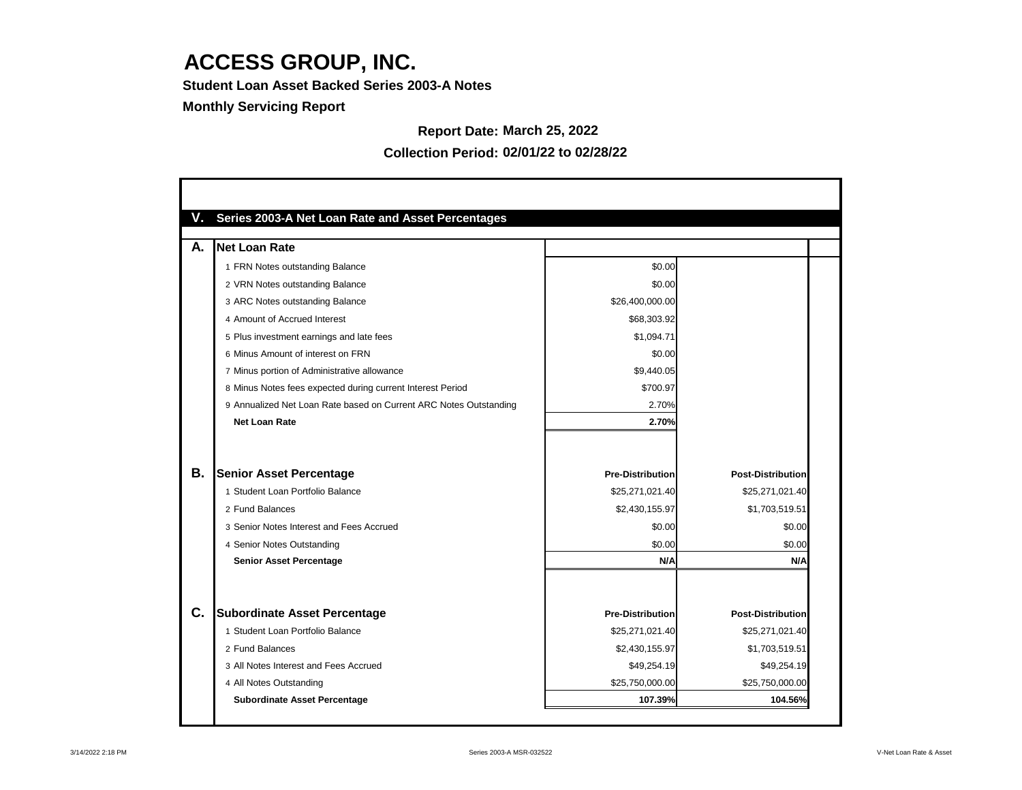**Student Loan Asset Backed Series 2003-A Notes**

### **Monthly Servicing Report**

## **Report Date: March 25, 2022**

| V. | <b>Series 2003-A Net Loan Rate and Asset Percentages</b>          |                         |                          |
|----|-------------------------------------------------------------------|-------------------------|--------------------------|
| А. | Net Loan Rate                                                     |                         |                          |
|    | 1 FRN Notes outstanding Balance                                   | \$0.00                  |                          |
|    | 2 VRN Notes outstanding Balance                                   | \$0.00                  |                          |
|    | 3 ARC Notes outstanding Balance                                   | \$26,400,000.00         |                          |
|    | 4 Amount of Accrued Interest                                      | \$68,303.92             |                          |
|    | 5 Plus investment earnings and late fees                          | \$1,094.71              |                          |
|    | 6 Minus Amount of interest on FRN                                 | \$0.00                  |                          |
|    | 7 Minus portion of Administrative allowance                       | \$9,440.05              |                          |
|    | 8 Minus Notes fees expected during current Interest Period        | \$700.97                |                          |
|    | 9 Annualized Net Loan Rate based on Current ARC Notes Outstanding | 2.70%                   |                          |
|    | <b>Net Loan Rate</b>                                              | 2.70%                   |                          |
|    |                                                                   |                         |                          |
| В. | <b>Senior Asset Percentage</b>                                    | <b>Pre-Distribution</b> | <b>Post-Distribution</b> |
|    | 1 Student Loan Portfolio Balance                                  | \$25,271,021.40         | \$25,271,021.40          |
|    | 2 Fund Balances                                                   | \$2,430,155.97          | \$1,703,519.51           |
|    | 3 Senior Notes Interest and Fees Accrued                          | \$0.00                  | \$0.00                   |
|    | 4 Senior Notes Outstanding                                        | \$0.00                  | \$0.00                   |
|    | <b>Senior Asset Percentage</b>                                    | N/A                     | N/A                      |
|    |                                                                   |                         |                          |
| C. | <b>Subordinate Asset Percentage</b>                               | <b>Pre-Distribution</b> | <b>Post-Distribution</b> |
|    | 1 Student Loan Portfolio Balance                                  | \$25,271,021.40         | \$25,271,021.40          |
|    | 2 Fund Balances                                                   | \$2,430,155.97          | \$1,703,519.51           |
|    | 3 All Notes Interest and Fees Accrued                             | \$49,254.19             | \$49,254.19              |
|    | 4 All Notes Outstanding                                           | \$25,750,000.00         | \$25,750,000.00          |
|    | <b>Subordinate Asset Percentage</b>                               | 107.39%                 | 104.56%                  |

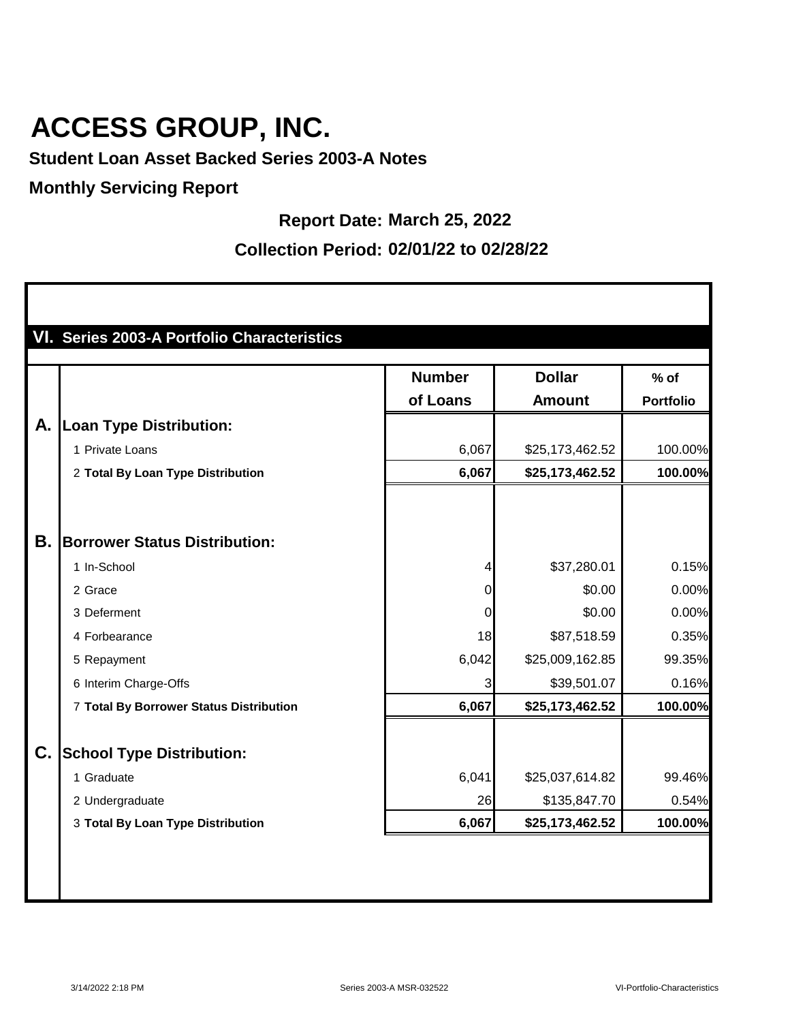**Student Loan Asset Backed Series 2003-A Notes**

### **Monthly Servicing Report**

П

**Report Date: March 25, 2022**

|    |                                         | <b>Number</b>  | <b>Dollar</b>   | $%$ of           |
|----|-----------------------------------------|----------------|-----------------|------------------|
|    |                                         | of Loans       | <b>Amount</b>   | <b>Portfolio</b> |
| Α. | <b>Loan Type Distribution:</b>          |                |                 |                  |
|    | 1 Private Loans                         | 6,067          | \$25,173,462.52 | 100.00%          |
|    | 2 Total By Loan Type Distribution       | 6,067          | \$25,173,462.52 | 100.00%          |
|    |                                         |                |                 |                  |
| Β. | <b>Borrower Status Distribution:</b>    |                |                 |                  |
|    | 1 In-School                             | 4              | \$37,280.01     | 0.15%            |
|    | 2 Grace                                 | $\overline{0}$ | \$0.00          | 0.00%            |
|    | 3 Deferment                             | $\mathbf 0$    | \$0.00          | 0.00%            |
|    | 4 Forbearance                           | 18             | \$87,518.59     | 0.35%            |
|    | 5 Repayment                             | 6,042          | \$25,009,162.85 | 99.35%           |
|    | 6 Interim Charge-Offs                   | 3              | \$39,501.07     | 0.16%            |
|    | 7 Total By Borrower Status Distribution | 6,067          | \$25,173,462.52 | 100.00%          |
| C. | <b>School Type Distribution:</b>        |                |                 |                  |
|    | 1 Graduate                              | 6,041          | \$25,037,614.82 | 99.46%           |
|    | 2 Undergraduate                         | 26             | \$135,847.70    | 0.54%            |
|    | 3 Total By Loan Type Distribution       | 6,067          | \$25,173,462.52 | 100.00%          |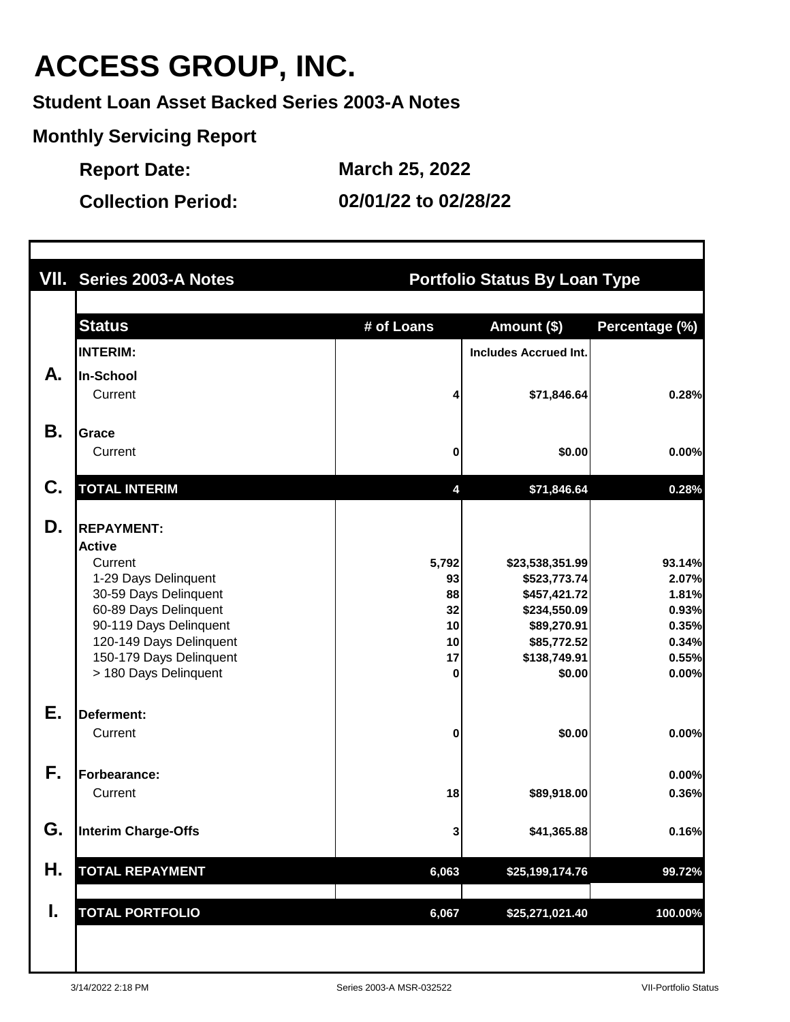**Student Loan Asset Backed Series 2003-A Notes**

**Monthly Servicing Report**

**Report Date: March 25, 2022**

|    | VII. Series 2003-A Notes                                                                                                                                                                                                         | <b>Portfolio Status By Loan Type</b>           |                                                                                                                         |                                                                       |
|----|----------------------------------------------------------------------------------------------------------------------------------------------------------------------------------------------------------------------------------|------------------------------------------------|-------------------------------------------------------------------------------------------------------------------------|-----------------------------------------------------------------------|
|    | <b>Status</b>                                                                                                                                                                                                                    | # of Loans                                     | Amount (\$)                                                                                                             | Percentage (%)                                                        |
|    | <b>INTERIM:</b>                                                                                                                                                                                                                  |                                                | <b>Includes Accrued Int.</b>                                                                                            |                                                                       |
| А. | <b>In-School</b>                                                                                                                                                                                                                 |                                                |                                                                                                                         |                                                                       |
|    | Current                                                                                                                                                                                                                          | 4                                              | \$71,846.64                                                                                                             | 0.28%                                                                 |
| Β. | <b>Grace</b>                                                                                                                                                                                                                     |                                                |                                                                                                                         |                                                                       |
|    | Current                                                                                                                                                                                                                          | 0                                              | \$0.00                                                                                                                  | 0.00%                                                                 |
| C. | <b>TOTAL INTERIM</b>                                                                                                                                                                                                             | 4                                              | \$71,846.64                                                                                                             | 0.28%                                                                 |
| D. | <b>REPAYMENT:</b><br><b>Active</b><br>Current<br>1-29 Days Delinquent<br>30-59 Days Delinquent<br>60-89 Days Delinquent<br>90-119 Days Delinquent<br>120-149 Days Delinquent<br>150-179 Days Delinquent<br>> 180 Days Delinquent | 5,792<br>93<br>88<br>32<br>10<br>10<br>17<br>0 | \$23,538,351.99<br>\$523,773.74<br>\$457,421.72<br>\$234,550.09<br>\$89,270.91<br>\$85,772.52<br>\$138,749.91<br>\$0.00 | 93.14%<br>2.07%<br>1.81%<br>0.93%<br>0.35%<br>0.34%<br>0.55%<br>0.00% |
| Ε. | Deferment:<br>Current                                                                                                                                                                                                            | 0                                              | \$0.00                                                                                                                  | 0.00%                                                                 |
| F. | Forbearance:                                                                                                                                                                                                                     |                                                |                                                                                                                         | 0.00%                                                                 |
|    | Current                                                                                                                                                                                                                          | 18                                             | \$89,918.00                                                                                                             | 0.36%                                                                 |
| G. | Interim Charge-Offs                                                                                                                                                                                                              | 3                                              | \$41,365.88                                                                                                             | 0.16%                                                                 |
| Η. | <b>TOTAL REPAYMENT</b>                                                                                                                                                                                                           | 6,063                                          | \$25,199,174.76                                                                                                         | 99.72%                                                                |
| I. | <b>TOTAL PORTFOLIO</b>                                                                                                                                                                                                           | 6,067                                          | \$25,271,021.40                                                                                                         | 100.00%                                                               |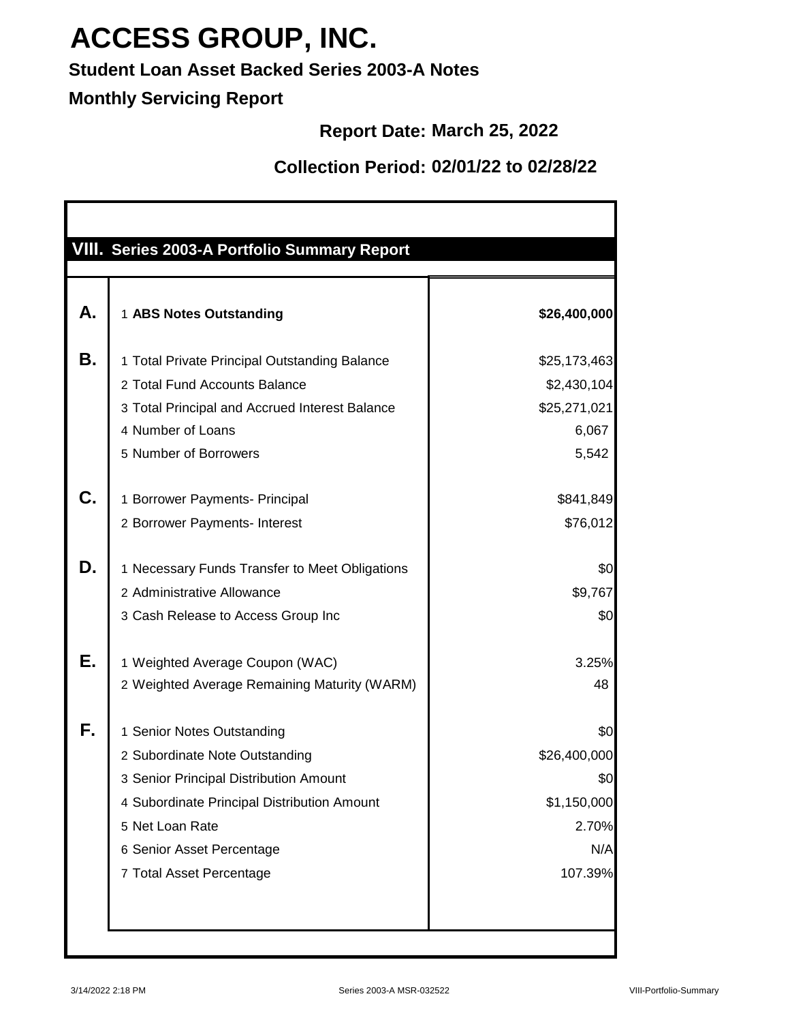### **Student Loan Asset Backed Series 2003-A Notes**

### **Monthly Servicing Report**

### **Report Date: March 25, 2022**

| А. | 1 ABS Notes Outstanding                        | \$26,400,000 |
|----|------------------------------------------------|--------------|
| Β. | 1 Total Private Principal Outstanding Balance  | \$25,173,463 |
|    | 2 Total Fund Accounts Balance                  | \$2,430,104  |
|    | 3 Total Principal and Accrued Interest Balance | \$25,271,021 |
|    | 4 Number of Loans                              | 6,067        |
|    | 5 Number of Borrowers                          | 5,542        |
| C. | 1 Borrower Payments- Principal                 | \$841,849    |
|    | 2 Borrower Payments- Interest                  | \$76,012     |
| D. | 1 Necessary Funds Transfer to Meet Obligations | \$0          |
|    | 2 Administrative Allowance                     | \$9,767      |
|    | 3 Cash Release to Access Group Inc             | \$0          |
| Е. | 1 Weighted Average Coupon (WAC)                | 3.25%        |
|    | 2 Weighted Average Remaining Maturity (WARM)   | 48           |
| F. | 1 Senior Notes Outstanding                     | \$0          |
|    | 2 Subordinate Note Outstanding                 | \$26,400,000 |
|    | 3 Senior Principal Distribution Amount         | \$0          |
|    | 4 Subordinate Principal Distribution Amount    | \$1,150,000  |
|    | 5 Net Loan Rate                                | 2.70%        |
|    | 6 Senior Asset Percentage                      | N/A          |
|    | 7 Total Asset Percentage                       | 107.39%      |